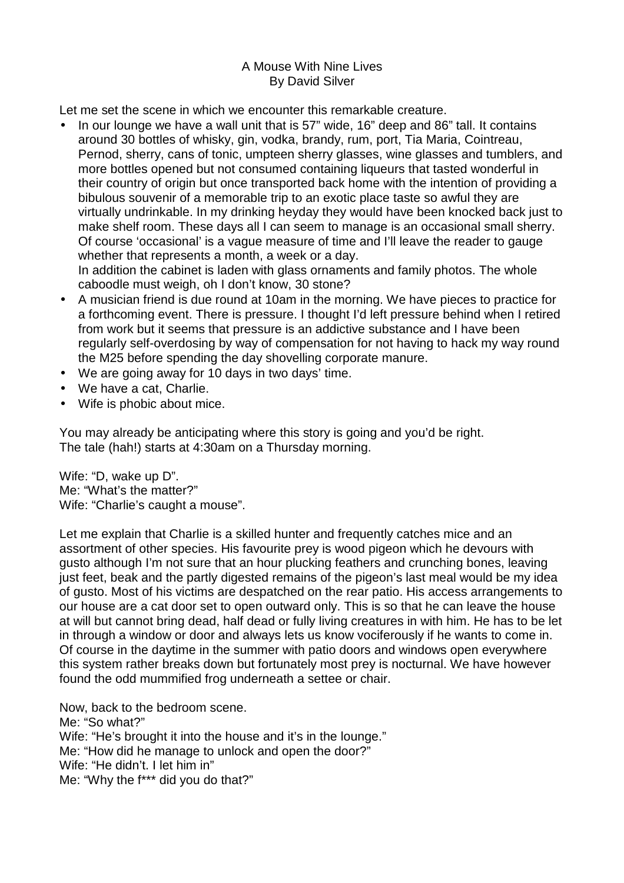## A Mouse With Nine Lives By David Silver

Let me set the scene in which we encounter this remarkable creature.

- In our lounge we have a wall unit that is 57" wide, 16" deep and 86" tall. It contains around 30 bottles of whisky, gin, vodka, brandy, rum, port, Tia Maria, Cointreau, Pernod, sherry, cans of tonic, umpteen sherry glasses, wine glasses and tumblers, and more bottles opened but not consumed containing liqueurs that tasted wonderful in their country of origin but once transported back home with the intention of providing a bibulous souvenir of a memorable trip to an exotic place taste so awful they are virtually undrinkable. In my drinking heyday they would have been knocked back just to make shelf room. These days all I can seem to manage is an occasional small sherry. Of course 'occasional' is a vague measure of time and I'll leave the reader to gauge whether that represents a month, a week or a day. In addition the cabinet is laden with glass ornaments and family photos. The whole caboodle must weigh, oh I don't know, 30 stone?
- A musician friend is due round at 10am in the morning. We have pieces to practice for a forthcoming event. There is pressure. I thought I'd left pressure behind when I retired from work but it seems that pressure is an addictive substance and I have been regularly self-overdosing by way of compensation for not having to hack my way round the M25 before spending the day shovelling corporate manure.
- We are going away for 10 days in two days' time.
- We have a cat, Charlie.
- Wife is phobic about mice.

You may already be anticipating where this story is going and you'd be right. The tale (hah!) starts at 4:30am on a Thursday morning.

Wife: "D, wake up D". Me: "What's the matter?" Wife: "Charlie's caught a mouse".

Let me explain that Charlie is a skilled hunter and frequently catches mice and an assortment of other species. His favourite prey is wood pigeon which he devours with gusto although I'm not sure that an hour plucking feathers and crunching bones, leaving just feet, beak and the partly digested remains of the pigeon's last meal would be my idea of gusto. Most of his victims are despatched on the rear patio. His access arrangements to our house are a cat door set to open outward only. This is so that he can leave the house at will but cannot bring dead, half dead or fully living creatures in with him. He has to be let in through a window or door and always lets us know vociferously if he wants to come in. Of course in the daytime in the summer with patio doors and windows open everywhere this system rather breaks down but fortunately most prey is nocturnal. We have however found the odd mummified frog underneath a settee or chair.

Now, back to the bedroom scene. Me: "So what?" Wife: "He's brought it into the house and it's in the lounge." Me: "How did he manage to unlock and open the door?" Wife: "He didn't. I let him in" Me: "Why the f\*\*\* did you do that?"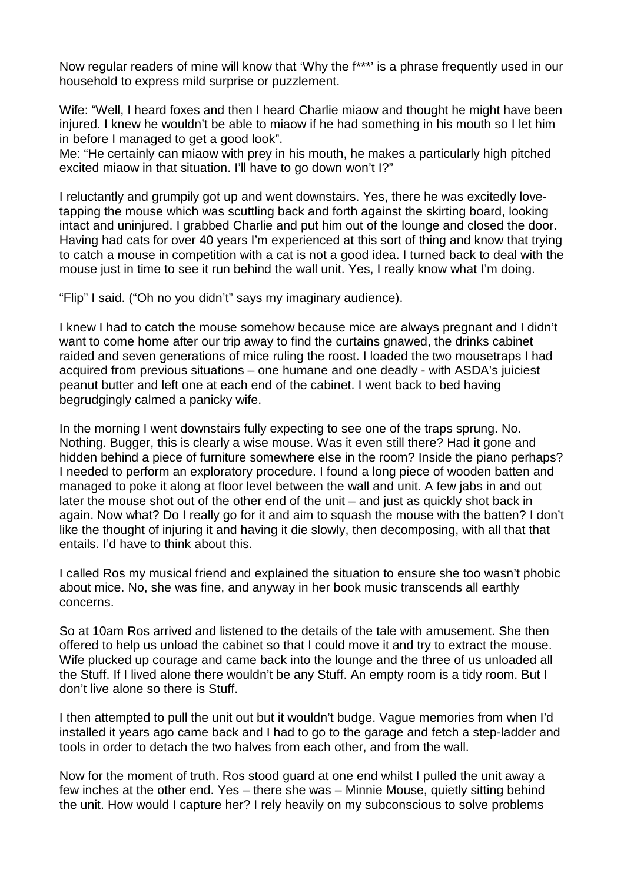Now regular readers of mine will know that 'Why the f\*\*\*' is a phrase frequently used in our household to express mild surprise or puzzlement.

Wife: "Well, I heard foxes and then I heard Charlie miaow and thought he might have been injured. I knew he wouldn't be able to miaow if he had something in his mouth so I let him in before I managed to get a good look".

Me: "He certainly can miaow with prey in his mouth, he makes a particularly high pitched excited miaow in that situation. I'll have to go down won't I?"

I reluctantly and grumpily got up and went downstairs. Yes, there he was excitedly lovetapping the mouse which was scuttling back and forth against the skirting board, looking intact and uninjured. I grabbed Charlie and put him out of the lounge and closed the door. Having had cats for over 40 years I'm experienced at this sort of thing and know that trying to catch a mouse in competition with a cat is not a good idea. I turned back to deal with the mouse just in time to see it run behind the wall unit. Yes, I really know what I'm doing.

"Flip" I said. ("Oh no you didn't" says my imaginary audience).

I knew I had to catch the mouse somehow because mice are always pregnant and I didn't want to come home after our trip away to find the curtains gnawed, the drinks cabinet raided and seven generations of mice ruling the roost. I loaded the two mousetraps I had acquired from previous situations – one humane and one deadly - with ASDA's juiciest peanut butter and left one at each end of the cabinet. I went back to bed having begrudgingly calmed a panicky wife.

In the morning I went downstairs fully expecting to see one of the traps sprung. No. Nothing. Bugger, this is clearly a wise mouse. Was it even still there? Had it gone and hidden behind a piece of furniture somewhere else in the room? Inside the piano perhaps? I needed to perform an exploratory procedure. I found a long piece of wooden batten and managed to poke it along at floor level between the wall and unit. A few jabs in and out later the mouse shot out of the other end of the unit – and just as quickly shot back in again. Now what? Do I really go for it and aim to squash the mouse with the batten? I don't like the thought of injuring it and having it die slowly, then decomposing, with all that that entails. I'd have to think about this.

I called Ros my musical friend and explained the situation to ensure she too wasn't phobic about mice. No, she was fine, and anyway in her book music transcends all earthly concerns.

So at 10am Ros arrived and listened to the details of the tale with amusement. She then offered to help us unload the cabinet so that I could move it and try to extract the mouse. Wife plucked up courage and came back into the lounge and the three of us unloaded all the Stuff. If I lived alone there wouldn't be any Stuff. An empty room is a tidy room. But I don't live alone so there is Stuff.

I then attempted to pull the unit out but it wouldn't budge. Vague memories from when I'd installed it years ago came back and I had to go to the garage and fetch a step-ladder and tools in order to detach the two halves from each other, and from the wall.

Now for the moment of truth. Ros stood guard at one end whilst I pulled the unit away a few inches at the other end. Yes – there she was – Minnie Mouse, quietly sitting behind the unit. How would I capture her? I rely heavily on my subconscious to solve problems